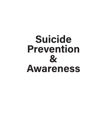## Suicide Prevention & Awareness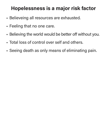## Hopelessness is a major risk factor

- **Believeing all resources are exhausted.**
- Feeling that no one care.
- Believing the world would be better off without you.
- • Total loss of control over self and others.
- Seeing death as only means of eliminating pain.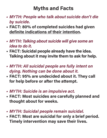## Myths and Facts

- • MYTH: People who talk about suicide don't die by suicide.
- FACT: 80% of completed suicides had given definite indications of their intention.
- • MYTH: Talking about suicide will give some an idea to do it.
- FACT: Suicidal people already have the idea. Talking about it may invite them to ask for help.
- • MYTH: All suicidal people are fully intent on dying. Nothing can be done about it.
- FACT: 95% are undecided about it. They call for help before or after the attempt.
- • MYTH: Suicide is an impulsive act.
- FACT: Most suicides are carefully planned and thought about for weeks.
- • MYTH: Suicidal people remain suicidal.
- FACT: Most are suicidal for only a brief period. Timely intervention may save their lives.